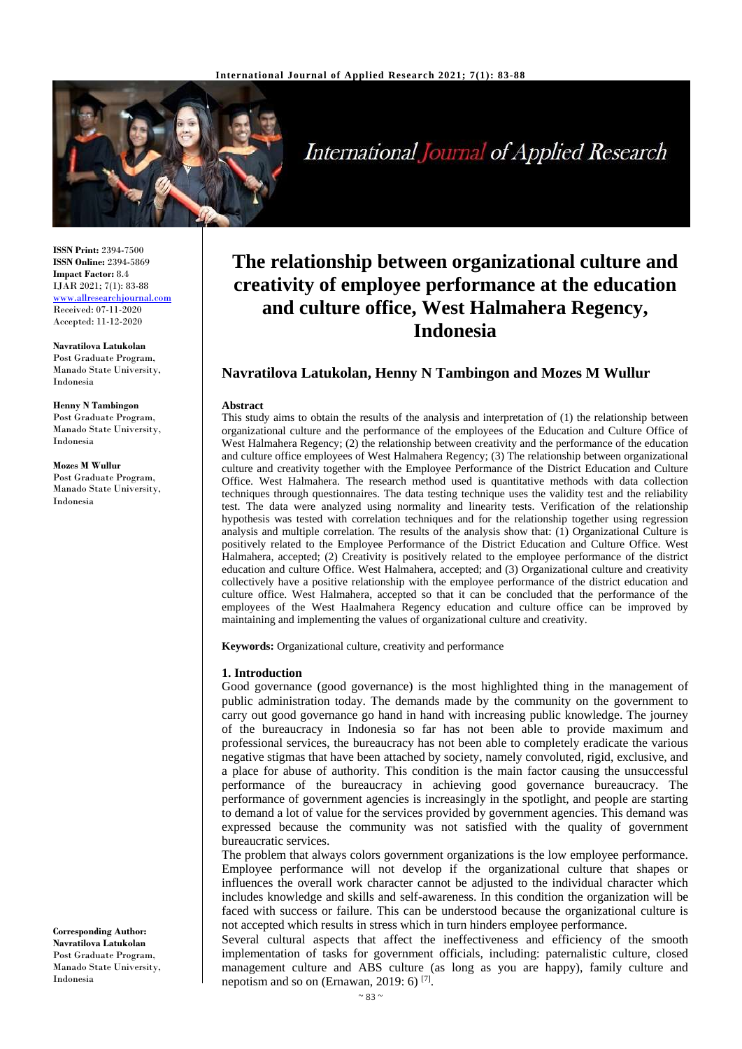

International Journal of Applied Research

**ISSN Print:** 2394-7500 **ISSN Online:** 2394-5869 **Impact Factor:** 8.4 IJAR 2021; 7(1): 83-88 <www.allresearchjournal.com> Received: 07-11-2020 Accepted: 11-12-2020

**Navratilova Latukolan** Post Graduate Program, Manado State University, Indonesia

**Henny N Tambingon** Post Graduate Program, Manado State University, Indonesia

**Mozes M Wullur** Post Graduate Program, Manado State University, Indonesia

**Corresponding Author: Navratilova Latukolan** Post Graduate Program, Manado State University, Indonesia

# **The relationship between organizational culture and creativity of employee performance at the education and culture office, West Halmahera Regency, Indonesia**

# **Navratilova Latukolan, Henny N Tambingon and Mozes M Wullur**

#### **Abstract**

This study aims to obtain the results of the analysis and interpretation of (1) the relationship between organizational culture and the performance of the employees of the Education and Culture Office of West Halmahera Regency; (2) the relationship between creativity and the performance of the education and culture office employees of West Halmahera Regency; (3) The relationship between organizational culture and creativity together with the Employee Performance of the District Education and Culture Office. West Halmahera. The research method used is quantitative methods with data collection techniques through questionnaires. The data testing technique uses the validity test and the reliability test. The data were analyzed using normality and linearity tests. Verification of the relationship hypothesis was tested with correlation techniques and for the relationship together using regression analysis and multiple correlation. The results of the analysis show that: (1) Organizational Culture is positively related to the Employee Performance of the District Education and Culture Office. West Halmahera, accepted; (2) Creativity is positively related to the employee performance of the district education and culture Office. West Halmahera, accepted; and (3) Organizational culture and creativity collectively have a positive relationship with the employee performance of the district education and culture office. West Halmahera, accepted so that it can be concluded that the performance of the employees of the West Haalmahera Regency education and culture office can be improved by maintaining and implementing the values of organizational culture and creativity.

**Keywords:** Organizational culture, creativity and performance

#### **1. Introduction**

Good governance (good governance) is the most highlighted thing in the management of public administration today. The demands made by the community on the government to carry out good governance go hand in hand with increasing public knowledge. The journey of the bureaucracy in Indonesia so far has not been able to provide maximum and professional services, the bureaucracy has not been able to completely eradicate the various negative stigmas that have been attached by society, namely convoluted, rigid, exclusive, and a place for abuse of authority. This condition is the main factor causing the unsuccessful performance of the bureaucracy in achieving good governance bureaucracy. The performance of government agencies is increasingly in the spotlight, and people are starting to demand a lot of value for the services provided by government agencies. This demand was expressed because the community was not satisfied with the quality of government bureaucratic services.

The problem that always colors government organizations is the low employee performance. Employee performance will not develop if the organizational culture that shapes or influences the overall work character cannot be adjusted to the individual character which includes knowledge and skills and self-awareness. In this condition the organization will be faced with success or failure. This can be understood because the organizational culture is not accepted which results in stress which in turn hinders employee performance.

Several cultural aspects that affect the ineffectiveness and efficiency of the smooth implementation of tasks for government officials, including: paternalistic culture, closed management culture and ABS culture (as long as you are happy), family culture and nepotism and so on (Ernawan, 2019: 6)<sup>[7]</sup>.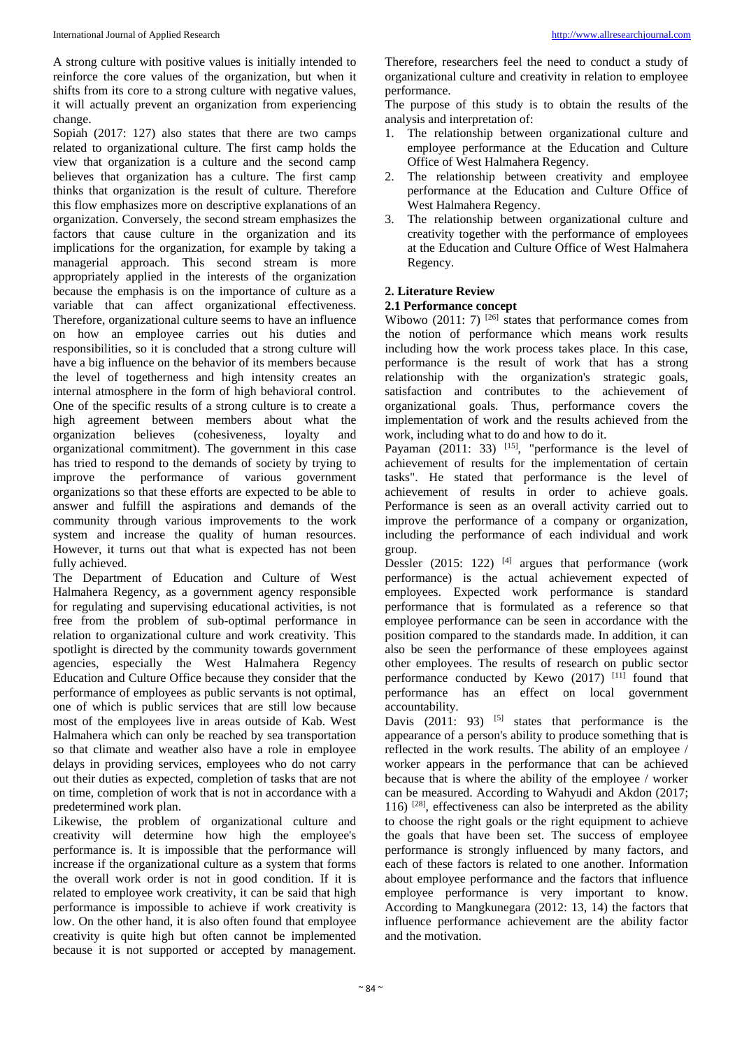A strong culture with positive values is initially intended to reinforce the core values of the organization, but when it shifts from its core to a strong culture with negative values, it will actually prevent an organization from experiencing change.

Sopiah (2017: 127) also states that there are two camps related to organizational culture. The first camp holds the view that organization is a culture and the second camp believes that organization has a culture. The first camp thinks that organization is the result of culture. Therefore this flow emphasizes more on descriptive explanations of an organization. Conversely, the second stream emphasizes the factors that cause culture in the organization and its implications for the organization, for example by taking a managerial approach. This second stream is more appropriately applied in the interests of the organization because the emphasis is on the importance of culture as a variable that can affect organizational effectiveness. Therefore, organizational culture seems to have an influence on how an employee carries out his duties and responsibilities, so it is concluded that a strong culture will have a big influence on the behavior of its members because the level of togetherness and high intensity creates an internal atmosphere in the form of high behavioral control. One of the specific results of a strong culture is to create a high agreement between members about what the organization believes (cohesiveness, loyalty and organizational commitment). The government in this case has tried to respond to the demands of society by trying to improve the performance of various government organizations so that these efforts are expected to be able to answer and fulfill the aspirations and demands of the community through various improvements to the work system and increase the quality of human resources. However, it turns out that what is expected has not been fully achieved.

The Department of Education and Culture of West Halmahera Regency, as a government agency responsible for regulating and supervising educational activities, is not free from the problem of sub-optimal performance in relation to organizational culture and work creativity. This spotlight is directed by the community towards government agencies, especially the West Halmahera Regency Education and Culture Office because they consider that the performance of employees as public servants is not optimal, one of which is public services that are still low because most of the employees live in areas outside of Kab. West Halmahera which can only be reached by sea transportation so that climate and weather also have a role in employee delays in providing services, employees who do not carry out their duties as expected, completion of tasks that are not on time, completion of work that is not in accordance with a predetermined work plan.

Likewise, the problem of organizational culture and creativity will determine how high the employee's performance is. It is impossible that the performance will increase if the organizational culture as a system that forms the overall work order is not in good condition. If it is related to employee work creativity, it can be said that high performance is impossible to achieve if work creativity is low. On the other hand, it is also often found that employee creativity is quite high but often cannot be implemented because it is not supported or accepted by management.

Therefore, researchers feel the need to conduct a study of organizational culture and creativity in relation to employee performance.

The purpose of this study is to obtain the results of the analysis and interpretation of:

- 1. The relationship between organizational culture and employee performance at the Education and Culture Office of West Halmahera Regency.
- 2. The relationship between creativity and employee performance at the Education and Culture Office of West Halmahera Regency.
- 3. The relationship between organizational culture and creativity together with the performance of employees at the Education and Culture Office of West Halmahera Regency.

# **2. Literature Review**

# **2.1 Performance concept**

Wibowo (2011: 7)  $^{[26]}$  states that performance comes from the notion of performance which means work results including how the work process takes place. In this case, performance is the result of work that has a strong relationship with the organization's strategic goals, satisfaction and contributes to the achievement of organizational goals. Thus, performance covers the implementation of work and the results achieved from the work, including what to do and how to do it.

Payaman  $(2011: 33)$  <sup>[15]</sup>, "performance is the level of achievement of results for the implementation of certain tasks". He stated that performance is the level of achievement of results in order to achieve goals. Performance is seen as an overall activity carried out to improve the performance of a company or organization, including the performance of each individual and work group.

Dessler  $(2015: 122)$  <sup>[4]</sup> argues that performance (work performance) is the actual achievement expected of employees. Expected work performance is standard performance that is formulated as a reference so that employee performance can be seen in accordance with the position compared to the standards made. In addition, it can also be seen the performance of these employees against other employees. The results of research on public sector performance conducted by Kewo  $(2017)$ <sup>[11]</sup> found that performance has an effect on local government accountability.

Davis  $(2011: 93)$  <sup>[5]</sup> states that performance is the appearance of a person's ability to produce something that is reflected in the work results. The ability of an employee / worker appears in the performance that can be achieved because that is where the ability of the employee / worker can be measured. According to Wahyudi and Akdon (2017; 116) [28] , effectiveness can also be interpreted as the ability to choose the right goals or the right equipment to achieve the goals that have been set. The success of employee performance is strongly influenced by many factors, and each of these factors is related to one another. Information about employee performance and the factors that influence employee performance is very important to know. According to Mangkunegara (2012: 13, 14) the factors that influence performance achievement are the ability factor and the motivation.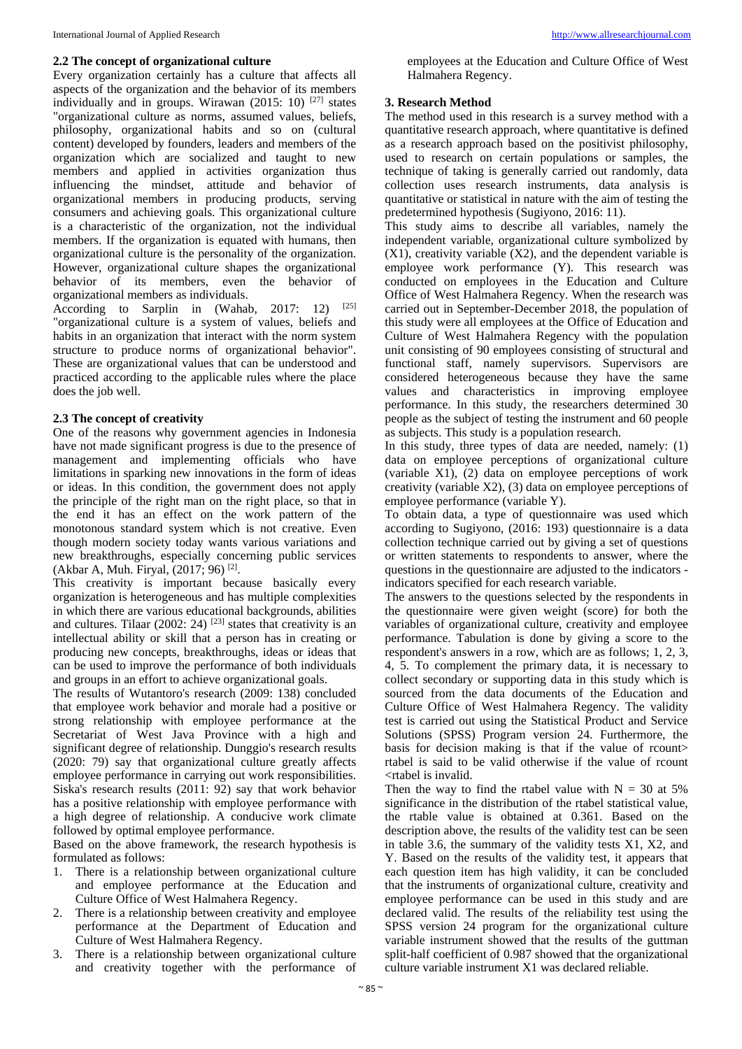#### **2.2 The concept of organizational culture**

Every organization certainly has a culture that affects all aspects of the organization and the behavior of its members individually and in groups. Wirawan  $(2015: 10)^{[27]}$  states "organizational culture as norms, assumed values, beliefs, philosophy, organizational habits and so on (cultural content) developed by founders, leaders and members of the organization which are socialized and taught to new members and applied in activities organization thus influencing the mindset, attitude and behavior of organizational members in producing products, serving consumers and achieving goals. This organizational culture is a characteristic of the organization, not the individual members. If the organization is equated with humans, then organizational culture is the personality of the organization. However, organizational culture shapes the organizational behavior of its members, even the behavior of organizational members as individuals.

According to Sarplin in (Wahab, 2017: 12)  $[25]$ "organizational culture is a system of values, beliefs and habits in an organization that interact with the norm system structure to produce norms of organizational behavior". These are organizational values that can be understood and practiced according to the applicable rules where the place does the job well.

## **2.3 The concept of creativity**

One of the reasons why government agencies in Indonesia have not made significant progress is due to the presence of management and implementing officials who have limitations in sparking new innovations in the form of ideas or ideas. In this condition, the government does not apply the principle of the right man on the right place, so that in the end it has an effect on the work pattern of the monotonous standard system which is not creative. Even though modern society today wants various variations and new breakthroughs, especially concerning public services (Akbar A, Muh. Firyal, (2017; 96)<sup>[2]</sup>.

This creativity is important because basically every organization is heterogeneous and has multiple complexities in which there are various educational backgrounds, abilities and cultures. Tilaar  $(2002: 24)$ <sup>[23]</sup> states that creativity is an intellectual ability or skill that a person has in creating or producing new concepts, breakthroughs, ideas or ideas that can be used to improve the performance of both individuals and groups in an effort to achieve organizational goals.

The results of Wutantoro's research (2009: 138) concluded that employee work behavior and morale had a positive or strong relationship with employee performance at the Secretariat of West Java Province with a high and significant degree of relationship. Dunggio's research results (2020: 79) say that organizational culture greatly affects employee performance in carrying out work responsibilities. Siska's research results (2011: 92) say that work behavior has a positive relationship with employee performance with a high degree of relationship. A conducive work climate followed by optimal employee performance.

Based on the above framework, the research hypothesis is formulated as follows:

- 1. There is a relationship between organizational culture and employee performance at the Education and Culture Office of West Halmahera Regency.
- 2. There is a relationship between creativity and employee performance at the Department of Education and Culture of West Halmahera Regency.
- 3. There is a relationship between organizational culture and creativity together with the performance of

employees at the Education and Culture Office of West Halmahera Regency.

#### **3. Research Method**

The method used in this research is a survey method with a quantitative research approach, where quantitative is defined as a research approach based on the positivist philosophy, used to research on certain populations or samples, the technique of taking is generally carried out randomly, data collection uses research instruments, data analysis is quantitative or statistical in nature with the aim of testing the predetermined hypothesis (Sugiyono, 2016: 11).

This study aims to describe all variables, namely the independent variable, organizational culture symbolized by  $(X1)$ , creativity variable  $(X2)$ , and the dependent variable is employee work performance (Y). This research was conducted on employees in the Education and Culture Office of West Halmahera Regency. When the research was carried out in September-December 2018, the population of this study were all employees at the Office of Education and Culture of West Halmahera Regency with the population unit consisting of 90 employees consisting of structural and functional staff, namely supervisors. Supervisors are considered heterogeneous because they have the same values and characteristics in improving employee performance. In this study, the researchers determined 30 people as the subject of testing the instrument and 60 people as subjects. This study is a population research.

In this study, three types of data are needed, namely: (1) data on employee perceptions of organizational culture (variable X1), (2) data on employee perceptions of work creativity (variable X2), (3) data on employee perceptions of employee performance (variable Y).

To obtain data, a type of questionnaire was used which according to Sugiyono, (2016: 193) questionnaire is a data collection technique carried out by giving a set of questions or written statements to respondents to answer, where the questions in the questionnaire are adjusted to the indicators indicators specified for each research variable.

The answers to the questions selected by the respondents in the questionnaire were given weight (score) for both the variables of organizational culture, creativity and employee performance. Tabulation is done by giving a score to the respondent's answers in a row, which are as follows; 1, 2, 3, 4, 5. To complement the primary data, it is necessary to collect secondary or supporting data in this study which is sourced from the data documents of the Education and Culture Office of West Halmahera Regency. The validity test is carried out using the Statistical Product and Service Solutions (SPSS) Program version 24. Furthermore, the basis for decision making is that if the value of rcount $>$ rtabel is said to be valid otherwise if the value of rcount <rtabel is invalid.

Then the way to find the rtabel value with  $N = 30$  at 5% significance in the distribution of the rtabel statistical value, the rtable value is obtained at 0.361. Based on the description above, the results of the validity test can be seen in table 3.6, the summary of the validity tests X1, X2, and Y. Based on the results of the validity test, it appears that each question item has high validity, it can be concluded that the instruments of organizational culture, creativity and employee performance can be used in this study and are declared valid. The results of the reliability test using the SPSS version 24 program for the organizational culture variable instrument showed that the results of the guttman split-half coefficient of 0.987 showed that the organizational culture variable instrument X1 was declared reliable.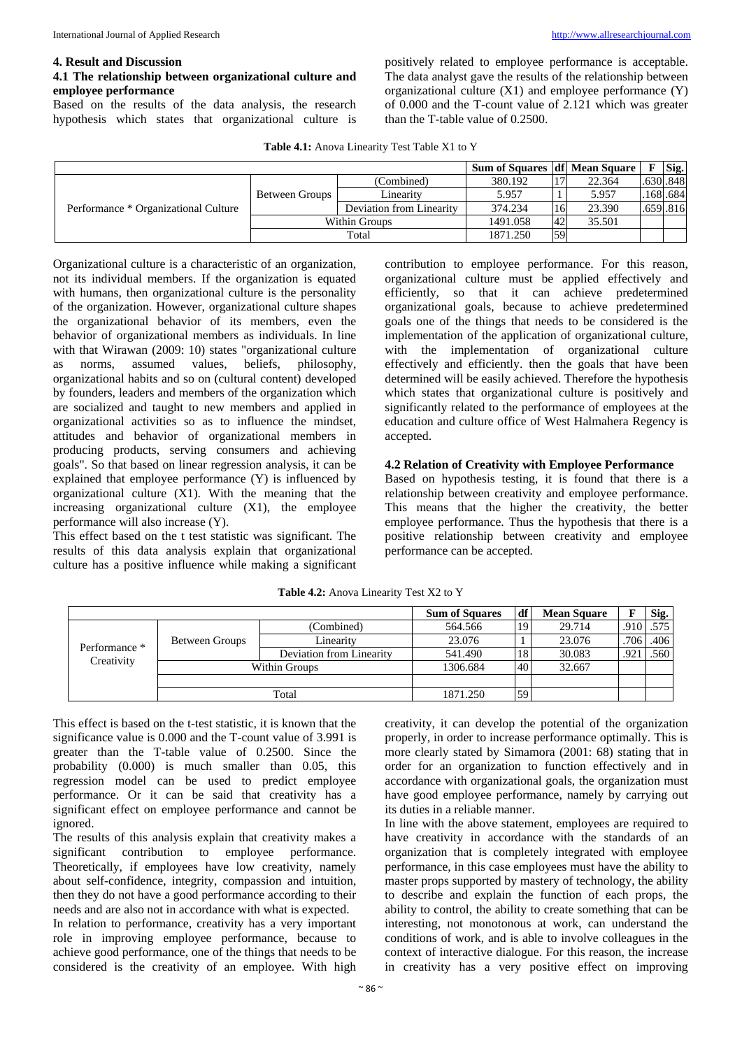#### **4. Result and Discussion**

## **4.1 The relationship between organizational culture and employee performance**

Based on the results of the data analysis, the research hypothesis which states that organizational culture is

positively related to employee performance is acceptable. The data analyst gave the results of the relationship between organizational culture  $(X1)$  and employee performance  $(Y)$ of 0.000 and the T-count value of 2.121 which was greater than the T-table value of 0.2500.

|  | Table 4.1: Anova Linearity Test Table X1 to Y |  |  |  |  |  |  |  |
|--|-----------------------------------------------|--|--|--|--|--|--|--|
|--|-----------------------------------------------|--|--|--|--|--|--|--|

|                                      |                |                          | <b>Sum of Squares   df   Mean Square  </b> |                |        | Sig.     |
|--------------------------------------|----------------|--------------------------|--------------------------------------------|----------------|--------|----------|
|                                      |                | (Combined)               | 380.192                                    | 1 <sub>7</sub> | 22.364 | .630.848 |
| Performance * Organizational Culture | Between Groups | Linearity                | 5.957                                      |                | 5.957  | .168.684 |
|                                      |                | Deviation from Linearity | 374.234                                    | 16             | 23.390 | .659.816 |
|                                      | Within Groups  |                          | 1491.058                                   | 42             | 35.501 |          |
|                                      | Total          |                          | 1871.250                                   | 59             |        |          |

Organizational culture is a characteristic of an organization, not its individual members. If the organization is equated with humans, then organizational culture is the personality of the organization. However, organizational culture shapes the organizational behavior of its members, even the behavior of organizational members as individuals. In line with that Wirawan (2009: 10) states "organizational culture as norms, assumed values, beliefs, philosophy, organizational habits and so on (cultural content) developed by founders, leaders and members of the organization which are socialized and taught to new members and applied in organizational activities so as to influence the mindset, attitudes and behavior of organizational members in producing products, serving consumers and achieving goals". So that based on linear regression analysis, it can be explained that employee performance (Y) is influenced by organizational culture (X1). With the meaning that the increasing organizational culture (X1), the employee performance will also increase (Y).

This effect based on the t test statistic was significant. The results of this data analysis explain that organizational culture has a positive influence while making a significant contribution to employee performance. For this reason, organizational culture must be applied effectively and efficiently, so that it can achieve predetermined organizational goals, because to achieve predetermined goals one of the things that needs to be considered is the implementation of the application of organizational culture, with the implementation of organizational culture effectively and efficiently. then the goals that have been determined will be easily achieved. Therefore the hypothesis which states that organizational culture is positively and significantly related to the performance of employees at the education and culture office of West Halmahera Regency is accepted.

#### **4.2 Relation of Creativity with Employee Performance**

Based on hypothesis testing, it is found that there is a relationship between creativity and employee performance. This means that the higher the creativity, the better employee performance. Thus the hypothesis that there is a positive relationship between creativity and employee performance can be accepted.

|               |                |                          | <b>Sum of Squares</b> | df        | <b>Mean Square</b> |      | Sig.        |
|---------------|----------------|--------------------------|-----------------------|-----------|--------------------|------|-------------|
|               | (Combined)     |                          | 564.566               | 19        | 29.714             |      | $.910$ .575 |
|               | Between Groups | Linearity                | 23.076                |           | 23.076             | .706 | .406        |
| Performance * |                | Deviation from Linearity | 541.490               | 18        | 30.083             | .921 | .560        |
| Creativity    | Within Groups  |                          | 1306.684              | 40        | 32.667             |      |             |
|               |                |                          |                       |           |                    |      |             |
|               | Total          |                          | 1871.250              | <b>59</b> |                    |      |             |

**Table 4.2:** Anova Linearity Test X2 to Y

This effect is based on the t-test statistic, it is known that the significance value is 0.000 and the T-count value of 3.991 is greater than the T-table value of 0.2500. Since the probability (0.000) is much smaller than 0.05, this regression model can be used to predict employee performance. Or it can be said that creativity has a significant effect on employee performance and cannot be ignored.

The results of this analysis explain that creativity makes a significant contribution to employee performance. Theoretically, if employees have low creativity, namely about self-confidence, integrity, compassion and intuition, then they do not have a good performance according to their needs and are also not in accordance with what is expected. In relation to performance, creativity has a very important role in improving employee performance, because to

achieve good performance, one of the things that needs to be considered is the creativity of an employee. With high creativity, it can develop the potential of the organization properly, in order to increase performance optimally. This is more clearly stated by Simamora (2001: 68) stating that in order for an organization to function effectively and in accordance with organizational goals, the organization must have good employee performance, namely by carrying out its duties in a reliable manner.

In line with the above statement, employees are required to have creativity in accordance with the standards of an organization that is completely integrated with employee performance, in this case employees must have the ability to master props supported by mastery of technology, the ability to describe and explain the function of each props, the ability to control, the ability to create something that can be interesting, not monotonous at work, can understand the conditions of work, and is able to involve colleagues in the context of interactive dialogue. For this reason, the increase in creativity has a very positive effect on improving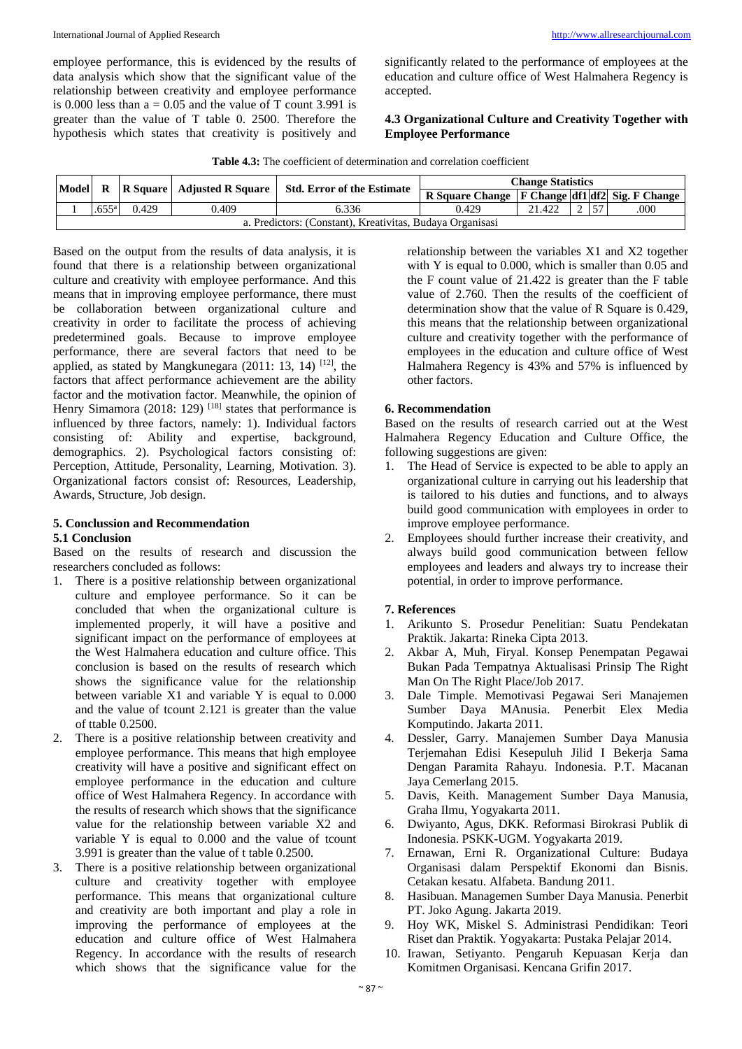employee performance, this is evidenced by the results of data analysis which show that the significant value of the relationship between creativity and employee performance is 0.000 less than  $a = 0.05$  and the value of T count 3.991 is greater than the value of T table 0. 2500. Therefore the hypothesis which states that creativity is positively and

significantly related to the performance of employees at the education and culture office of West Halmahera Regency is accepted.

## **4.3 Organizational Culture and Creativity Together with Employee Performance**

|  |  |  | <b>Table 4.3:</b> The coefficient of determination and correlation coefficient |  |  |
|--|--|--|--------------------------------------------------------------------------------|--|--|
|--|--|--|--------------------------------------------------------------------------------|--|--|

| <b>Change Statistics</b><br>Model R   R Square   Adjusted R Square   Std. Error of the Estimate |                                                                                       |  |  |  |  |  |  |  |  |  |  |
|-------------------------------------------------------------------------------------------------|---------------------------------------------------------------------------------------|--|--|--|--|--|--|--|--|--|--|
|                                                                                                 | R Square Change $ F $ Change df1 df2 Sig. F Change                                    |  |  |  |  |  |  |  |  |  |  |
|                                                                                                 | 0.429<br><b>157</b><br>.655 <sup>a</sup><br>6.336<br>21.422<br>.000<br>0.429<br>0.409 |  |  |  |  |  |  |  |  |  |  |
| a. Predictors: (Constant), Kreativitas, Budaya Organisasi                                       |                                                                                       |  |  |  |  |  |  |  |  |  |  |

Based on the output from the results of data analysis, it is found that there is a relationship between organizational culture and creativity with employee performance. And this means that in improving employee performance, there must be collaboration between organizational culture and creativity in order to facilitate the process of achieving predetermined goals. Because to improve employee performance, there are several factors that need to be applied, as stated by Mangkunegara  $(2011: 13, 14)$  <sup>[12]</sup>, the factors that affect performance achievement are the ability factor and the motivation factor. Meanwhile, the opinion of Henry Simamora (2018: 129)<sup>[18]</sup> states that performance is influenced by three factors, namely: 1). Individual factors consisting of: Ability and expertise, background, demographics. 2). Psychological factors consisting of: Perception, Attitude, Personality, Learning, Motivation. 3). Organizational factors consist of: Resources, Leadership, Awards, Structure, Job design.

#### **5. Conclussion and Recommendation 5.1 Conclusion**

Based on the results of research and discussion the researchers concluded as follows:

- 1. There is a positive relationship between organizational culture and employee performance. So it can be concluded that when the organizational culture is implemented properly, it will have a positive and significant impact on the performance of employees at the West Halmahera education and culture office. This conclusion is based on the results of research which shows the significance value for the relationship between variable X1 and variable Y is equal to 0.000 and the value of tcount 2.121 is greater than the value of ttable 0.2500.
- 2. There is a positive relationship between creativity and employee performance. This means that high employee creativity will have a positive and significant effect on employee performance in the education and culture office of West Halmahera Regency. In accordance with the results of research which shows that the significance value for the relationship between variable X2 and variable Y is equal to 0.000 and the value of tcount 3.991 is greater than the value of t table 0.2500.
- 3. There is a positive relationship between organizational culture and creativity together with employee performance. This means that organizational culture and creativity are both important and play a role in improving the performance of employees at the education and culture office of West Halmahera Regency. In accordance with the results of research which shows that the significance value for the

relationship between the variables X1 and X2 together with Y is equal to 0.000, which is smaller than 0.05 and the F count value of 21.422 is greater than the F table value of 2.760. Then the results of the coefficient of determination show that the value of R Square is 0.429, this means that the relationship between organizational culture and creativity together with the performance of employees in the education and culture office of West Halmahera Regency is 43% and 57% is influenced by other factors.

# **6. Recommendation**

Based on the results of research carried out at the West Halmahera Regency Education and Culture Office, the following suggestions are given:

- 1. The Head of Service is expected to be able to apply an organizational culture in carrying out his leadership that is tailored to his duties and functions, and to always build good communication with employees in order to improve employee performance.
- 2. Employees should further increase their creativity, and always build good communication between fellow employees and leaders and always try to increase their potential, in order to improve performance.

# **7. References**

- 1. Arikunto S. Prosedur Penelitian: Suatu Pendekatan Praktik. Jakarta: Rineka Cipta 2013.
- 2. Akbar A, Muh, Firyal. Konsep Penempatan Pegawai Bukan Pada Tempatnya Aktualisasi Prinsip The Right Man On The Right Place/Job 2017.
- 3. Dale Timple. Memotivasi Pegawai Seri Manajemen Sumber Daya MAnusia. Penerbit Elex Media Komputindo. Jakarta 2011.
- 4. Dessler, Garry. Manajemen Sumber Daya Manusia Terjemahan Edisi Kesepuluh Jilid I Bekerja Sama Dengan Paramita Rahayu. Indonesia. P.T. Macanan Jaya Cemerlang 2015.
- 5. Davis, Keith. Management Sumber Daya Manusia, Graha Ilmu, Yogyakarta 2011.
- 6. Dwiyanto, Agus, DKK. Reformasi Birokrasi Publik di Indonesia. PSKK-UGM. Yogyakarta 2019.
- 7. Ernawan, Erni R. Organizational Culture: Budaya Organisasi dalam Perspektif Ekonomi dan Bisnis. Cetakan kesatu. Alfabeta. Bandung 2011.
- 8. Hasibuan. Managemen Sumber Daya Manusia. Penerbit PT. Joko Agung. Jakarta 2019.
- 9. Hoy WK, Miskel S. Administrasi Pendidikan: Teori Riset dan Praktik. Yogyakarta: Pustaka Pelajar 2014.
- 10. Irawan, Setiyanto. Pengaruh Kepuasan Kerja dan Komitmen Organisasi. Kencana Grifin 2017.